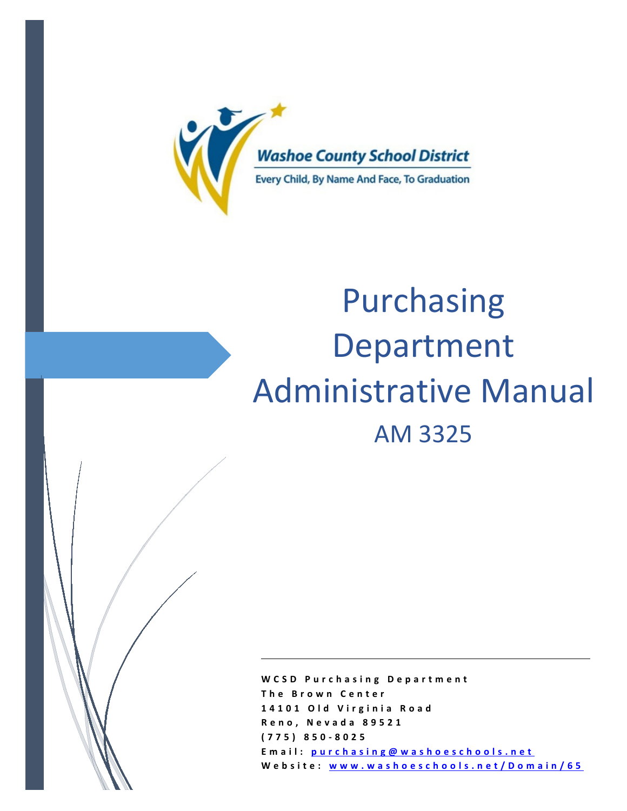

# Purchasing Department Administrative Manual AM 3325

**WCSD Purchasing Department The Brown Center 14101 Old Virginia Road Reno, Nevada 89521 (775) 850 - 8025 Email: [purchasing@washoeschools.net](mailto:purchasing@washoeschools.net)  Website: [www.washoeschools.net/Domain/65](http://www.washoeschools.net/Domain/65)**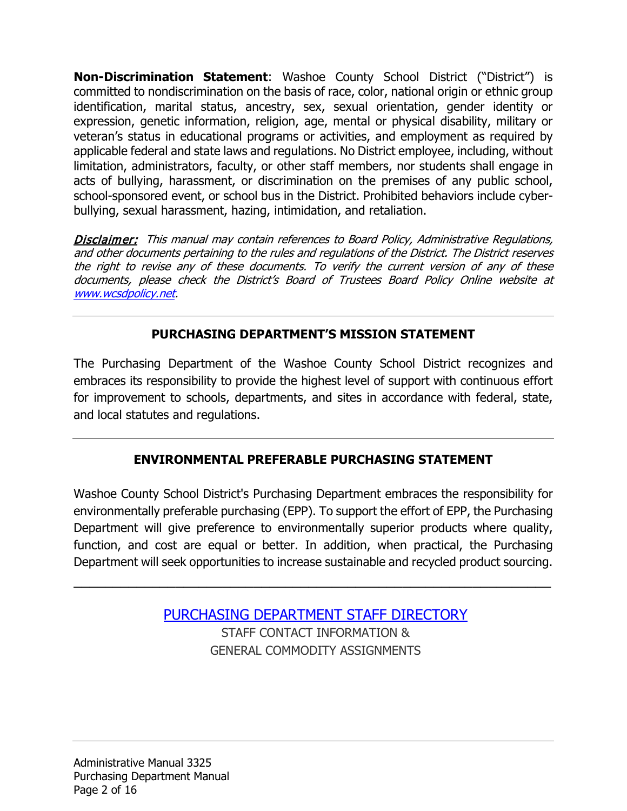**Non-Discrimination Statement**: Washoe County School District ("District") is committed to nondiscrimination on the basis of race, color, national origin or ethnic group identification, marital status, ancestry, sex, sexual orientation, gender identity or expression, genetic information, religion, age, mental or physical disability, military or veteran's status in educational programs or activities, and employment as required by applicable federal and state laws and regulations. No District employee, including, without limitation, administrators, faculty, or other staff members, nor students shall engage in acts of bullying, harassment, or discrimination on the premises of any public school, school-sponsored event, or school bus in the District. Prohibited behaviors include cyberbullying, sexual harassment, hazing, intimidation, and retaliation.

Disclaimer: This manual may contain references to Board Policy, Administrative Regulations, and other documents pertaining to the rules and regulations of the District. The District reserves the right to revise any of these documents. To verify the current version of any of these documents, please check the District's Board of Trustees Board Policy Online website at [www.wcsdpolicy.net.](http://www.wcsdpolicy.net/)

# **PURCHASING DEPARTMENT'S MISSION STATEMENT**

The Purchasing Department of the Washoe County School District recognizes and embraces its responsibility to provide the highest level of support with continuous effort for improvement to schools, departments, and sites in accordance with federal, state, and local statutes and regulations.

# **ENVIRONMENTAL PREFERABLE PURCHASING STATEMENT**

Washoe County School District's Purchasing Department embraces the responsibility for environmentally preferable purchasing (EPP). To support the effort of EPP, the Purchasing Department will give preference to environmentally superior products where quality, function, and cost are equal or better. In addition, when practical, the Purchasing Department will seek opportunities to increase sustainable and recycled product sourcing.

 $\overline{\phantom{a}}$  , and the contract of the contract of the contract of the contract of the contract of the contract of the contract of the contract of the contract of the contract of the contract of the contract of the contrac

[PURCHASING DEPARTMENT STAFF DIRECTORY](https://www.washoeschools.net/Page/574)  STAFF CONTACT INFORMATION & GENERAL COMMODITY ASSIGNMENTS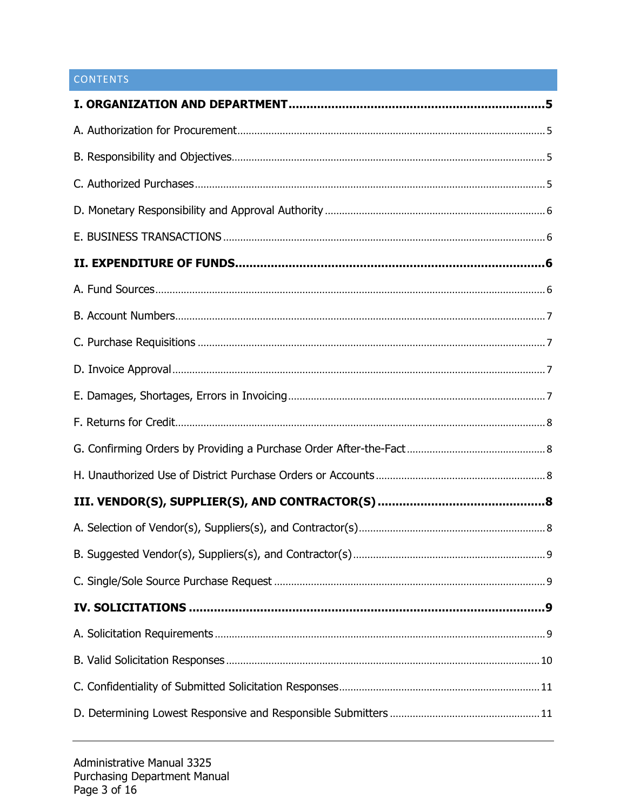# CONTENTS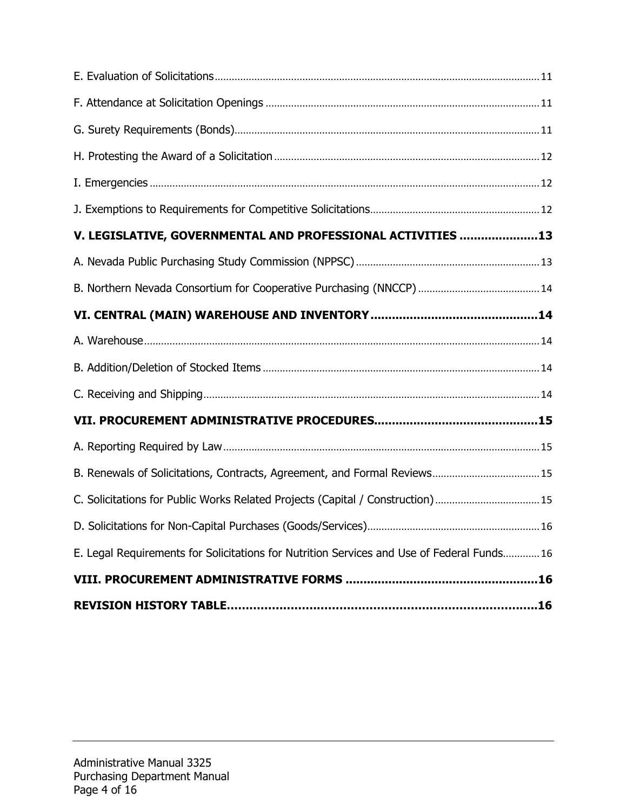| V. LEGISLATIVE, GOVERNMENTAL AND PROFESSIONAL ACTIVITIES 13                                |  |
|--------------------------------------------------------------------------------------------|--|
|                                                                                            |  |
|                                                                                            |  |
|                                                                                            |  |
|                                                                                            |  |
|                                                                                            |  |
|                                                                                            |  |
|                                                                                            |  |
|                                                                                            |  |
| B. Renewals of Solicitations, Contracts, Agreement, and Formal Reviews 15                  |  |
| C. Solicitations for Public Works Related Projects (Capital / Construction) 15             |  |
|                                                                                            |  |
| E. Legal Requirements for Solicitations for Nutrition Services and Use of Federal Funds 16 |  |
|                                                                                            |  |
|                                                                                            |  |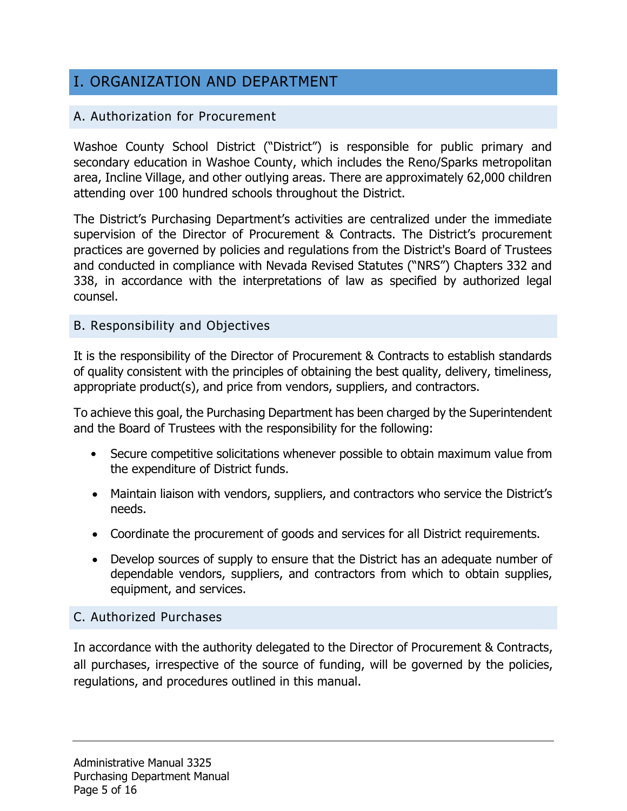# <span id="page-4-0"></span>I. ORGANIZATION AND DEPARTMENT

# <span id="page-4-1"></span>A. Authorization for Procurement

Washoe County School District ("District") is responsible for public primary and secondary education in Washoe County, which includes the Reno/Sparks metropolitan area, Incline Village, and other outlying areas. There are approximately 62,000 children attending over 100 hundred schools throughout the District.

The District's Purchasing Department's activities are centralized under the immediate supervision of the Director of Procurement & Contracts. The District's procurement practices are governed by policies and regulations from the District's Board of Trustees and conducted in compliance with Nevada Revised Statutes ("NRS") Chapters 332 and 338, in accordance with the interpretations of law as specified by authorized legal counsel.

# <span id="page-4-2"></span>B. Responsibility and Objectives

It is the responsibility of the Director of Procurement & Contracts to establish standards of quality consistent with the principles of obtaining the best quality, delivery, timeliness, appropriate product(s), and price from vendors, suppliers, and contractors.

To achieve this goal, the Purchasing Department has been charged by the Superintendent and the Board of Trustees with the responsibility for the following:

- Secure competitive solicitations whenever possible to obtain maximum value from the expenditure of District funds.
- Maintain liaison with vendors, suppliers, and contractors who service the District's needs.
- Coordinate the procurement of goods and services for all District requirements.
- Develop sources of supply to ensure that the District has an adequate number of dependable vendors, suppliers, and contractors from which to obtain supplies, equipment, and services.

# <span id="page-4-3"></span>C. Authorized Purchases

In accordance with the authority delegated to the Director of Procurement & Contracts, all purchases, irrespective of the source of funding, will be governed by the policies, regulations, and procedures outlined in this manual.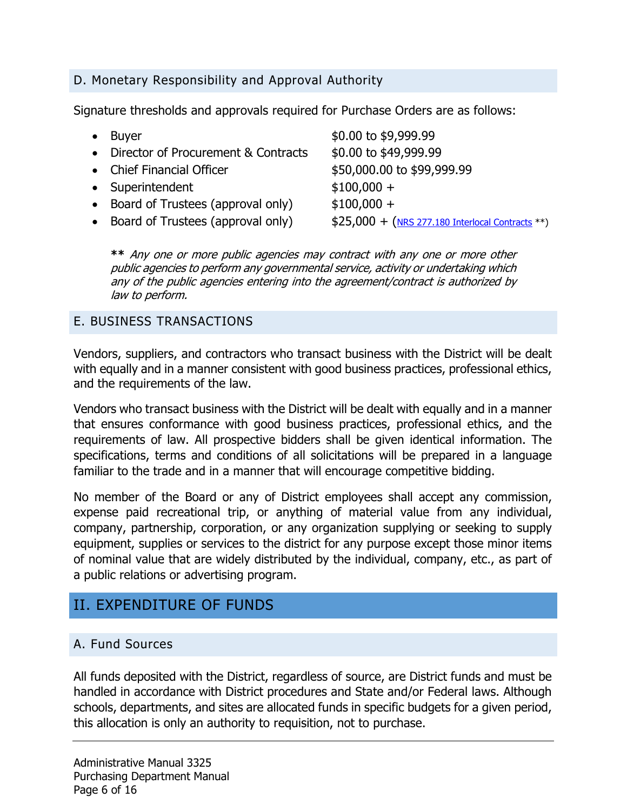## <span id="page-5-0"></span>D. Monetary Responsibility and Approval Authority

Signature thresholds and approvals required for Purchase Orders are as follows:

| $\bullet$ Buyer                       | \$0.00 to \$9,999.99                              |
|---------------------------------------|---------------------------------------------------|
| • Director of Procurement & Contracts | \$0.00 to \$49,999.99                             |
| • Chief Financial Officer             | \$50,000.00 to \$99,999.99                        |
| • Superintendent                      | $$100,000 +$                                      |
| • Board of Trustees (approval only)   | $$100,000 +$                                      |
| • Board of Trustees (approval only)   | $$25,000 + (NRS 277.180 Interlocal Contracts **)$ |
|                                       |                                                   |

**\*\*** Any one or more public agencies may contract with any one or more other public agencies to perform any governmental service, activity or undertaking which any of the public agencies entering into the agreement/contract is authorized by law to perform.

#### <span id="page-5-1"></span>E. BUSINESS TRANSACTIONS

Vendors, suppliers, and contractors who transact business with the District will be dealt with equally and in a manner consistent with good business practices, professional ethics, and the requirements of the law.

Vendors who transact business with the District will be dealt with equally and in a manner that ensures conformance with good business practices, professional ethics, and the requirements of law. All prospective bidders shall be given identical information. The specifications, terms and conditions of all solicitations will be prepared in a language familiar to the trade and in a manner that will encourage competitive bidding.

No member of the Board or any of District employees shall accept any commission, expense paid recreational trip, or anything of material value from any individual, company, partnership, corporation, or any organization supplying or seeking to supply equipment, supplies or services to the district for any purpose except those minor items of nominal value that are widely distributed by the individual, company, etc., as part of a public relations or advertising program.

# <span id="page-5-2"></span>II. EXPENDITURE OF FUNDS

#### <span id="page-5-3"></span>A. Fund Sources

All funds deposited with the District, regardless of source, are District funds and must be handled in accordance with District procedures and State and/or Federal laws. Although schools, departments, and sites are allocated funds in specific budgets for a given period, this allocation is only an authority to requisition, not to purchase.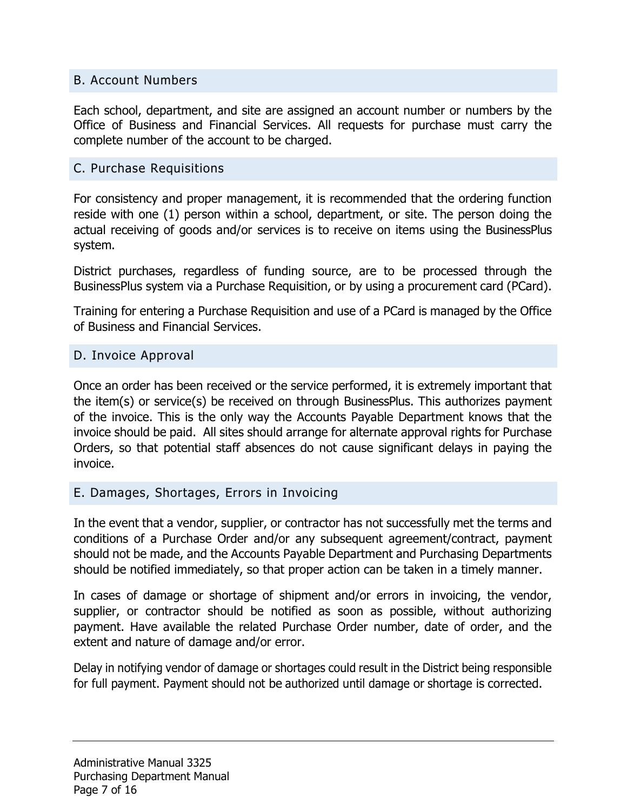#### <span id="page-6-0"></span>B. Account Numbers

Each school, department, and site are assigned an account number or numbers by the Office of Business and Financial Services. All requests for purchase must carry the complete number of the account to be charged.

#### <span id="page-6-1"></span>C. Purchase Requisitions

For consistency and proper management, it is recommended that the ordering function reside with one (1) person within a school, department, or site. The person doing the actual receiving of goods and/or services is to receive on items using the BusinessPlus system.

District purchases, regardless of funding source, are to be processed through the BusinessPlus system via a Purchase Requisition, or by using a procurement card (PCard).

Training for entering a Purchase Requisition and use of a PCard is managed by the Office of Business and Financial Services.

#### <span id="page-6-2"></span>D. Invoice Approval

Once an order has been received or the service performed, it is extremely important that the item(s) or service(s) be received on through BusinessPlus. This authorizes payment of the invoice. This is the only way the Accounts Payable Department knows that the invoice should be paid. All sites should arrange for alternate approval rights for Purchase Orders, so that potential staff absences do not cause significant delays in paying the invoice.

#### <span id="page-6-3"></span>E. Damages, Shortages, Errors in Invoicing

In the event that a vendor, supplier, or contractor has not successfully met the terms and conditions of a Purchase Order and/or any subsequent agreement/contract, payment should not be made, and the Accounts Payable Department and Purchasing Departments should be notified immediately, so that proper action can be taken in a timely manner.

In cases of damage or shortage of shipment and/or errors in invoicing, the vendor, supplier, or contractor should be notified as soon as possible, without authorizing payment. Have available the related Purchase Order number, date of order, and the extent and nature of damage and/or error.

Delay in notifying vendor of damage or shortages could result in the District being responsible for full payment. Payment should not be authorized until damage or shortage is corrected.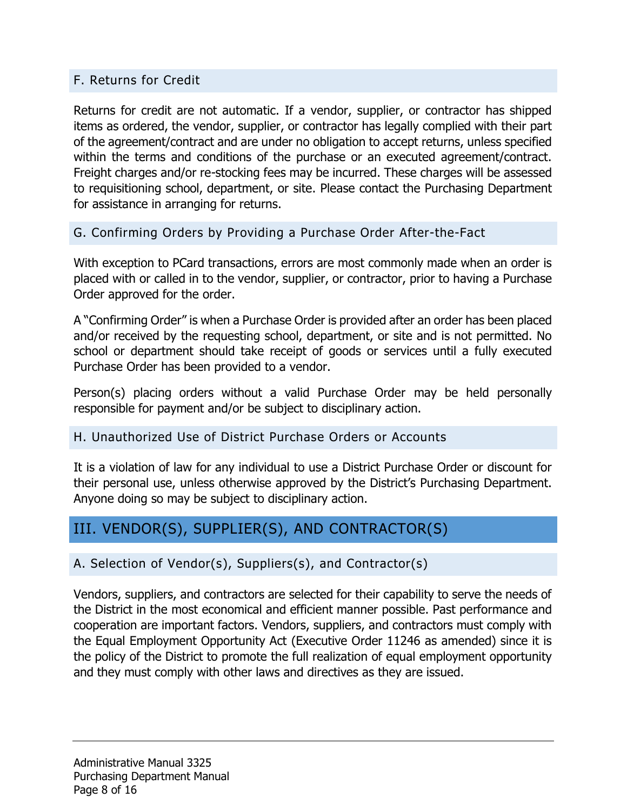# <span id="page-7-0"></span>F. Returns for Credit

Returns for credit are not automatic. If a vendor, supplier, or contractor has shipped items as ordered, the vendor, supplier, or contractor has legally complied with their part of the agreement/contract and are under no obligation to accept returns, unless specified within the terms and conditions of the purchase or an executed agreement/contract. Freight charges and/or re-stocking fees may be incurred. These charges will be assessed to requisitioning school, department, or site. Please contact the Purchasing Department for assistance in arranging for returns.

<span id="page-7-1"></span>G. Confirming Orders by Providing a Purchase Order After-the-Fact

With exception to PCard transactions, errors are most commonly made when an order is placed with or called in to the vendor, supplier, or contractor, prior to having a Purchase Order approved for the order.

A "Confirming Order" is when a Purchase Order is provided after an order has been placed and/or received by the requesting school, department, or site and is not permitted. No school or department should take receipt of goods or services until a fully executed Purchase Order has been provided to a vendor.

Person(s) placing orders without a valid Purchase Order may be held personally responsible for payment and/or be subject to disciplinary action.

# <span id="page-7-2"></span>H. Unauthorized Use of District Purchase Orders or Accounts

It is a violation of law for any individual to use a District Purchase Order or discount for their personal use, unless otherwise approved by the District's Purchasing Department. Anyone doing so may be subject to disciplinary action.

# <span id="page-7-3"></span>III. VENDOR(S), SUPPLIER(S), AND CONTRACTOR(S)

# <span id="page-7-4"></span>A. Selection of Vendor(s), Suppliers(s), and Contractor(s)

Vendors, suppliers, and contractors are selected for their capability to serve the needs of the District in the most economical and efficient manner possible. Past performance and cooperation are important factors. Vendors, suppliers, and contractors must comply with the Equal Employment Opportunity Act (Executive Order 11246 as amended) since it is the policy of the District to promote the full realization of equal employment opportunity and they must comply with other laws and directives as they are issued.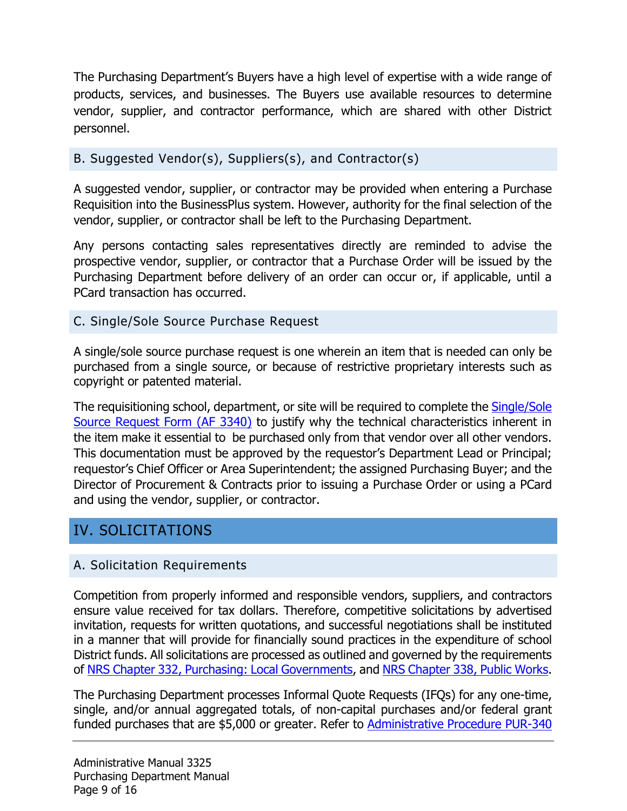The Purchasing Department's Buyers have a high level of expertise with a wide range of products, services, and businesses. The Buyers use available resources to determine vendor, supplier, and contractor performance, which are shared with other District personnel.

#### <span id="page-8-0"></span>B. Suggested Vendor(s), Suppliers(s), and Contractor(s)

A suggested vendor, supplier, or contractor may be provided when entering a Purchase Requisition into the BusinessPlus system. However, authority for the final selection of the vendor, supplier, or contractor shall be left to the Purchasing Department.

Any persons contacting sales representatives directly are reminded to advise the prospective vendor, supplier, or contractor that a Purchase Order will be issued by the Purchasing Department before delivery of an order can occur or, if applicable, until a PCard transaction has occurred.

## <span id="page-8-1"></span>C. Single/Sole Source Purchase Request

A single/sole source purchase request is one wherein an item that is needed can only be purchased from a single source, or because of restrictive proprietary interests such as copyright or patented material.

The requisitioning school, department, or site will be required to complete the **Single/Sole** [Source Request Form \(AF 3340\)](http://www.wcsdpolicy.net/search.php?search=AF%203340&rd=TRUE) to justify why the technical characteristics inherent in the item make it essential to be purchased only from that vendor over all other vendors. This documentation must be approved by the requestor's Department Lead or Principal; requestor's Chief Officer or Area Superintendent; the assigned Purchasing Buyer; and the Director of Procurement & Contracts prior to issuing a Purchase Order or using a PCard and using the vendor, supplier, or contractor.

# <span id="page-8-2"></span>IV. SOLICITATIONS

#### <span id="page-8-3"></span>A. Solicitation Requirements

Competition from properly informed and responsible vendors, suppliers, and contractors ensure value received for tax dollars. Therefore, competitive solicitations by advertised invitation, requests for written quotations, and successful negotiations shall be instituted in a manner that will provide for financially sound practices in the expenditure of school District funds. All solicitations are processed as outlined and governed by the requirements of [NRS Chapter 332, Purchasing: Local Governments,](https://www.leg.state.nv.us/NRS/NRS-332.html) and NRS [Chapter 338, Public Works.](https://www.leg.state.nv.us/NRS/NRS-338.html)

The Purchasing Department processes Informal Quote Requests (IFQs) for any one-time, single, and/or annual aggregated totals, of non-capital purchases and/or federal grant funded purchases that are \$5,000 or greater. Refer to **Administrative Procedure PUR-340**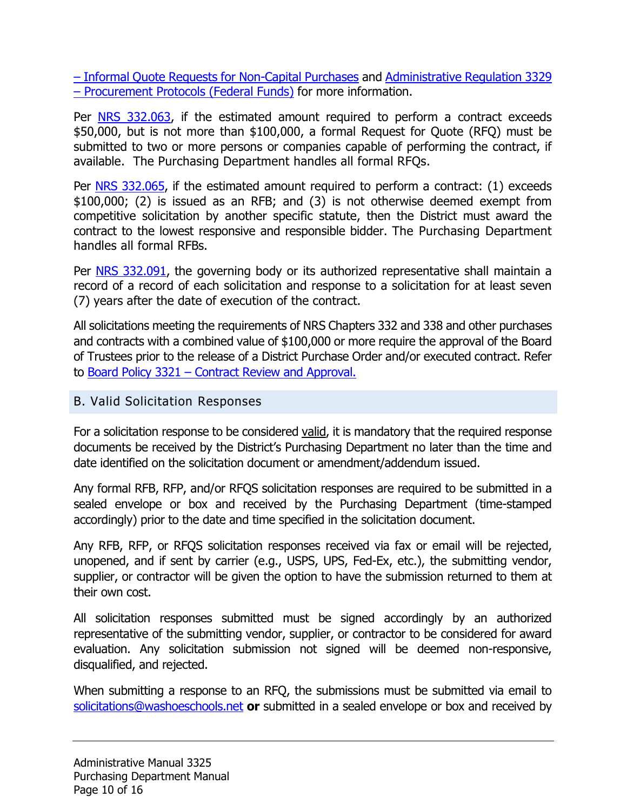[– Informal Quote Requests for Non-Capital Purchases](http://www.wcsdpolicy.net/search.php?search=PUR-340&rd=TRUE) and [Administrative Regulation 3329](http://www.wcsdpolicy.net/search.php?search=Reg%203329&rd=TRUE)  [– Procurement Protocols \(Federal Funds\)](http://www.wcsdpolicy.net/search.php?search=Reg%203329&rd=TRUE) for more information.

Per [NRS 332.063,](https://www.leg.state.nv.us/nrs/nrs-332.html#NRS332Sec063) if the estimated amount required to perform a contract exceeds \$50,000, but is not more than \$100,000, a formal Request for Quote (RFQ) must be submitted to two or more persons or companies capable of performing the contract, if available. The Purchasing Department handles all formal RFQs.

Per [NRS 332.065,](https://www.leg.state.nv.us/nrs/nrs-332.html#NRS332Sec065) if the estimated amount required to perform a contract: (1) exceeds \$100,000; (2) is issued as an RFB; and (3) is not otherwise deemed exempt from competitive solicitation by another specific statute, then the District must award the contract to the lowest responsive and responsible bidder. The Purchasing Department handles all formal RFBs.

Per [NRS 332.091,](https://www.leg.state.nv.us/nrs/nrs-332.html#NRS332Sec091) the governing body or its authorized representative shall maintain a record of a record of each solicitation and response to a solicitation for at least seven (7) years after the date of execution of the contract.

All solicitations meeting the requirements of NRS Chapters 332 and 338 and other purchases and contracts with a combined value of \$100,000 or more require the approval of the Board of Trustees prior to the release of a District Purchase Order and/or executed contract. Refer to [Board Policy 3321 – Contract Review and Approval.](http://www.wcsdpolicy.net/search.php?search=BP%203321&rd=TRUE)

#### <span id="page-9-0"></span>B. Valid Solicitation Responses

For a solicitation response to be considered valid, it is mandatory that the required response documents be received by the District's Purchasing Department no later than the time and date identified on the solicitation document or amendment/addendum issued.

Any formal RFB, RFP, and/or RFQS solicitation responses are required to be submitted in a sealed envelope or box and received by the Purchasing Department (time-stamped accordingly) prior to the date and time specified in the solicitation document.

Any RFB, RFP, or RFQS solicitation responses received via fax or email will be rejected, unopened, and if sent by carrier (e.g., USPS, UPS, Fed-Ex, etc.), the submitting vendor, supplier, or contractor will be given the option to have the submission returned to them at their own cost.

All solicitation responses submitted must be signed accordingly by an authorized representative of the submitting vendor, supplier, or contractor to be considered for award evaluation. Any solicitation submission not signed will be deemed non-responsive, disqualified, and rejected.

When submitting a response to an RFQ, the submissions must be submitted via email to [solicitations@washoeschools.net](mailto:solicitations@washoeschools.net) **or** submitted in a sealed envelope or box and received by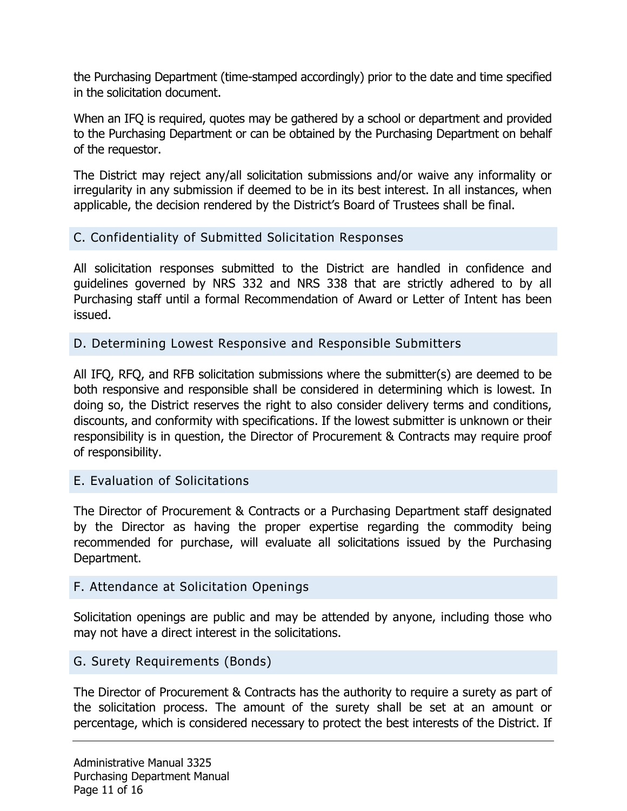the Purchasing Department (time-stamped accordingly) prior to the date and time specified in the solicitation document.

When an IFQ is required, quotes may be gathered by a school or department and provided to the Purchasing Department or can be obtained by the Purchasing Department on behalf of the requestor.

The District may reject any/all solicitation submissions and/or waive any informality or irregularity in any submission if deemed to be in its best interest. In all instances, when applicable, the decision rendered by the District's Board of Trustees shall be final.

#### <span id="page-10-0"></span>C. Confidentiality of Submitted Solicitation Responses

All solicitation responses submitted to the District are handled in confidence and guidelines governed by NRS 332 and NRS 338 that are strictly adhered to by all Purchasing staff until a formal Recommendation of Award or Letter of Intent has been issued.

#### <span id="page-10-1"></span>D. Determining Lowest Responsive and Responsible Submitters

All IFQ, RFQ, and RFB solicitation submissions where the submitter(s) are deemed to be both responsive and responsible shall be considered in determining which is lowest. In doing so, the District reserves the right to also consider delivery terms and conditions, discounts, and conformity with specifications. If the lowest submitter is unknown or their responsibility is in question, the Director of Procurement & Contracts may require proof of responsibility.

#### <span id="page-10-2"></span>E. Evaluation of Solicitations

The Director of Procurement & Contracts or a Purchasing Department staff designated by the Director as having the proper expertise regarding the commodity being recommended for purchase, will evaluate all solicitations issued by the Purchasing Department.

#### <span id="page-10-3"></span>F. Attendance at Solicitation Openings

Solicitation openings are public and may be attended by anyone, including those who may not have a direct interest in the solicitations.

#### <span id="page-10-4"></span>G. Surety Requirements (Bonds)

The Director of Procurement & Contracts has the authority to require a surety as part of the solicitation process. The amount of the surety shall be set at an amount or percentage, which is considered necessary to protect the best interests of the District. If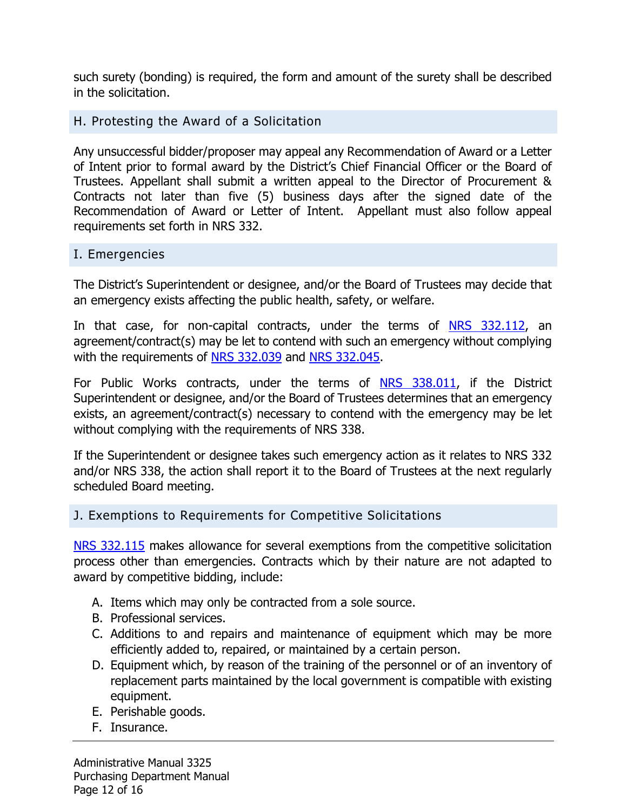such surety (bonding) is required, the form and amount of the surety shall be described in the solicitation.

#### <span id="page-11-0"></span>H. Protesting the Award of a Solicitation

Any unsuccessful bidder/proposer may appeal any Recommendation of Award or a Letter of Intent prior to formal award by the District's Chief Financial Officer or the Board of Trustees. Appellant shall submit a written appeal to the Director of Procurement & Contracts not later than five (5) business days after the signed date of the Recommendation of Award or Letter of Intent. Appellant must also follow appeal requirements set forth in NRS 332.

#### <span id="page-11-1"></span>I. Emergencies

The District's Superintendent or designee, and/or the Board of Trustees may decide that an emergency exists affecting the public health, safety, or welfare.

In that case, for non-capital contracts, under the terms of [NRS 332.112,](https://www.leg.state.nv.us/NRS/NRS-332.html#NRS332Sec112) an agreement/contract(s) may be let to contend with such an emergency without complying with the requirements of [NRS 332.039](https://www.leg.state.nv.us/NRS/NRS-332.html#NRS332Sec039) and [NRS 332.045.](https://www.leg.state.nv.us/NRS/NRS-332.html#NRS332Sec045)

For Public Works contracts, under the terms of [NRS 338.011,](https://www.leg.state.nv.us/nrs/nrs-338.html#NRS338Sec011) if the District Superintendent or designee, and/or the Board of Trustees determines that an emergency exists, an agreement/contract(s) necessary to contend with the emergency may be let without complying with the requirements of NRS 338.

If the Superintendent or designee takes such emergency action as it relates to NRS 332 and/or NRS 338, the action shall report it to the Board of Trustees at the next regularly scheduled Board meeting.

#### <span id="page-11-2"></span>J. Exemptions to Requirements for Competitive Solicitations

[NRS 332.115](https://www.leg.state.nv.us/NRS/NRS-332.html#NRS332Sec115) makes allowance for several exemptions from the competitive solicitation process other than emergencies. Contracts which by their nature are not adapted to award by competitive bidding, include:

- A. Items which may only be contracted from a sole source.
- B. Professional services.
- C. Additions to and repairs and maintenance of equipment which may be more efficiently added to, repaired, or maintained by a certain person.
- D. Equipment which, by reason of the training of the personnel or of an inventory of replacement parts maintained by the local government is compatible with existing equipment.
- E. Perishable goods.
- F. Insurance.

Administrative Manual 3325 Purchasing Department Manual Page 12 of 16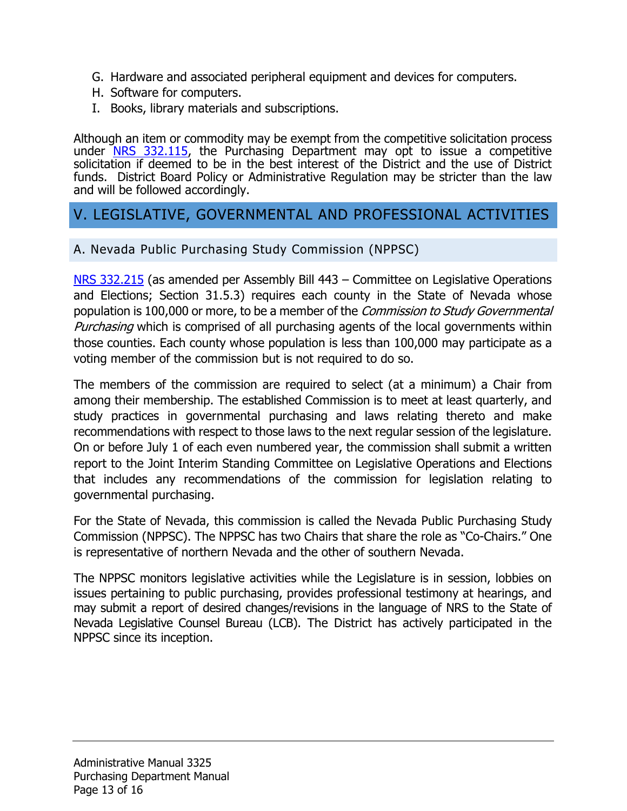- G. Hardware and associated peripheral equipment and devices for computers.
- H. Software for computers.
- I. Books, library materials and subscriptions.

Although an item or commodity may be exempt from the competitive solicitation process under  $NRS$  332.115, the Purchasing Department may opt to issue a competitive solicitation if deemed to be in the best interest of the District and the use of District funds. District Board Policy or Administrative Regulation may be stricter than the law and will be followed accordingly.

# <span id="page-12-0"></span>V. LEGISLATIVE, GOVERNMENTAL AND PROFESSIONAL ACTIVITIES

<span id="page-12-1"></span>A. Nevada Public Purchasing Study Commission (NPPSC)

[NRS 332.215](https://www.leg.state.nv.us/NRS/NRS-332.html#NRS332Sec215) (as amended per Assembly Bill 443 – Committee on Legislative Operations and Elections; Section 31.5.3) requires each county in the State of Nevada whose population is 100,000 or more, to be a member of the *Commission to Study Governmental Purchasing* which is comprised of all purchasing agents of the local governments within those counties. Each county whose population is less than 100,000 may participate as a voting member of the commission but is not required to do so.

The members of the commission are required to select (at a minimum) a Chair from among their membership. The established Commission is to meet at least quarterly, and study practices in governmental purchasing and laws relating thereto and make recommendations with respect to those laws to the next regular session of the legislature. On or before July 1 of each even numbered year, the commission shall submit a written report to the Joint Interim Standing Committee on Legislative Operations and Elections that includes any recommendations of the commission for legislation relating to governmental purchasing.

For the State of Nevada, this commission is called the Nevada Public Purchasing Study Commission (NPPSC). The NPPSC has two Chairs that share the role as "Co-Chairs." One is representative of northern Nevada and the other of southern Nevada.

The NPPSC monitors legislative activities while the Legislature is in session, lobbies on issues pertaining to public purchasing, provides professional testimony at hearings, and may submit a report of desired changes/revisions in the language of NRS to the State of Nevada Legislative Counsel Bureau (LCB). The District has actively participated in the NPPSC since its inception.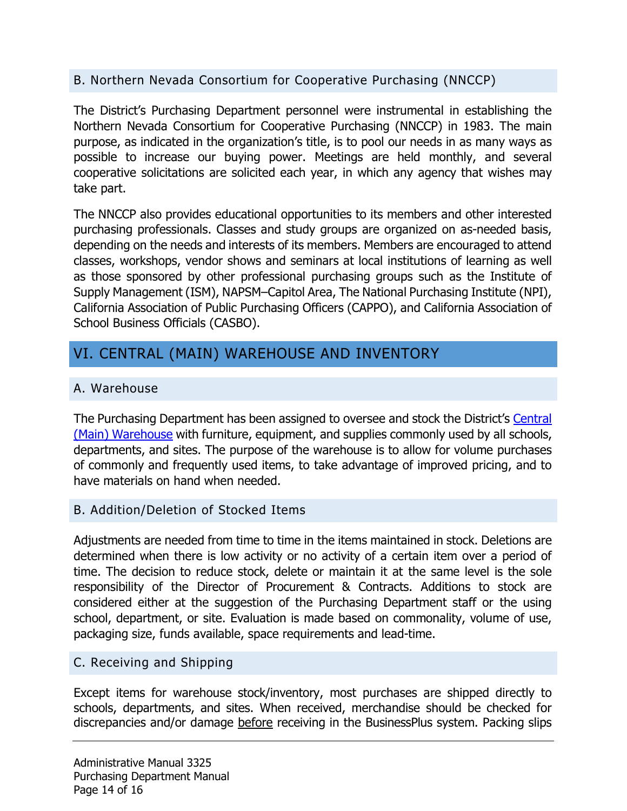# <span id="page-13-0"></span>B. Northern Nevada Consortium for Cooperative Purchasing (NNCCP)

The District's Purchasing Department personnel were instrumental in establishing the Northern Nevada Consortium for Cooperative Purchasing (NNCCP) in 1983. The main purpose, as indicated in the organization's title, is to pool our needs in as many ways as possible to increase our buying power. Meetings are held monthly, and several cooperative solicitations are solicited each year, in which any agency that wishes may take part.

The NNCCP also provides educational opportunities to its members and other interested purchasing professionals. Classes and study groups are organized on as-needed basis, depending on the needs and interests of its members. Members are encouraged to attend classes, workshops, vendor shows and seminars at local institutions of learning as well as those sponsored by other professional purchasing groups such as the Institute of Supply Management (ISM), NAPSM–Capitol Area, The National Purchasing Institute (NPI), California Association of Public Purchasing Officers (CAPPO), and California Association of School Business Officials (CASBO).

# <span id="page-13-1"></span>VI. CENTRAL (MAIN) WAREHOUSE AND INVENTORY

## <span id="page-13-2"></span>A. Warehouse

The Purchasing Department has been assigned to oversee and stock the District's [Central](https://www.washoeschools.net/Domain/383)  [\(Main\) Warehouse](https://www.washoeschools.net/Domain/383) with furniture, equipment, and supplies commonly used by all schools, departments, and sites. The purpose of the warehouse is to allow for volume purchases of commonly and frequently used items, to take advantage of improved pricing, and to have materials on hand when needed.

#### <span id="page-13-3"></span>B. Addition/Deletion of Stocked Items

Adjustments are needed from time to time in the items maintained in stock. Deletions are determined when there is low activity or no activity of a certain item over a period of time. The decision to reduce stock, delete or maintain it at the same level is the sole responsibility of the Director of Procurement & Contracts. Additions to stock are considered either at the suggestion of the Purchasing Department staff or the using school, department, or site. Evaluation is made based on commonality, volume of use, packaging size, funds available, space requirements and lead-time.

#### <span id="page-13-4"></span>C. Receiving and Shipping

Except items for warehouse stock/inventory, most purchases are shipped directly to schools, departments, and sites. When received, merchandise should be checked for discrepancies and/or damage before receiving in the BusinessPlus system. Packing slips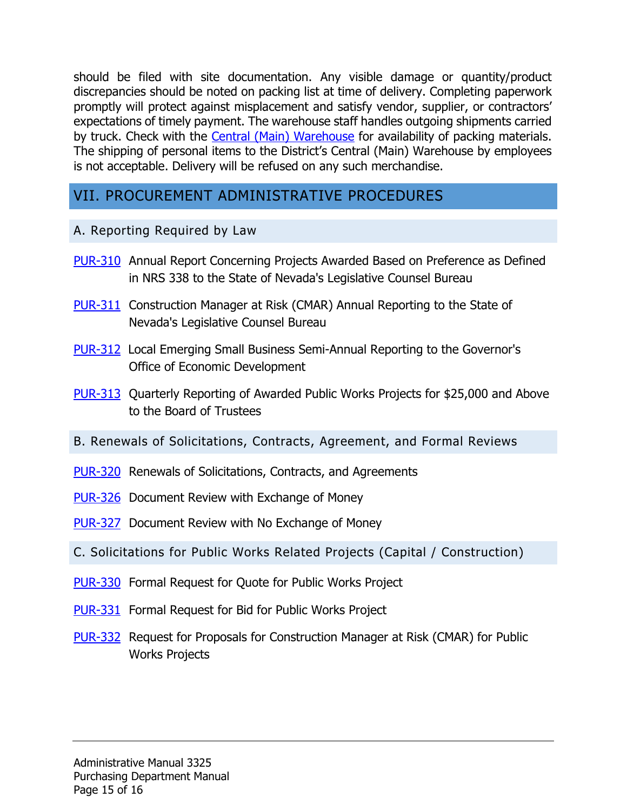should be filed with site documentation. Any visible damage or quantity/product discrepancies should be noted on packing list at time of delivery. Completing paperwork promptly will protect against misplacement and satisfy vendor, supplier, or contractors' expectations of timely payment. The warehouse staff handles outgoing shipments carried by truck. Check with the [Central \(Main\) Warehouse](https://www.washoeschools.net/Page/2046) for availability of packing materials. The shipping of personal items to the District's Central (Main) Warehouse by employees is not acceptable. Delivery will be refused on any such merchandise.

# <span id="page-14-0"></span>VII. PROCUREMENT ADMINISTRATIVE PROCEDURES

## <span id="page-14-1"></span>A. Reporting Required by Law

- [PUR-310](http://www.wcsdpolicy.net/search.php?search=PUR-310&rd=TRUE) Annual Report Concerning Projects Awarded Based on Preference as Defined in NRS 338 to the State of Nevada's Legislative Counsel Bureau
- [PUR-311](http://www.wcsdpolicy.net/search.php?search=PUR-311&rd=TRUE) Construction Manager at Risk (CMAR) Annual Reporting to the State of Nevada's Legislative Counsel Bureau
- [PUR-312](http://www.wcsdpolicy.net/search.php?search=PUR-312&rd=TRUE) Local Emerging Small Business Semi-Annual Reporting to the Governor's Office of Economic Development
- [PUR-313](http://www.wcsdpolicy.net/search.php?search=PUR-313&rd=TRUE) Quarterly Reporting of Awarded Public Works Projects for \$25,000 and Above to the Board of Trustees
- <span id="page-14-2"></span>B. Renewals of Solicitations, Contracts, Agreement, and Formal Reviews
- [PUR-320](http://www.wcsdpolicy.net/search.php?search=PUR-320&rd=TRUE) Renewals of Solicitations, Contracts, and Agreements
- [PUR-326](http://www.wcsdpolicy.net/search.php?search=PUR-326&rd=TRUE) Document Review with Exchange of Money
- [PUR-327](http://www.wcsdpolicy.net/search.php?search=PUR-327&rd=TRUE) Document Review with No Exchange of Money
- <span id="page-14-3"></span>C. Solicitations for Public Works Related Projects (Capital / Construction)
- [PUR-330](http://www.wcsdpolicy.net/search.php?search=PUR-330&rd=TRUE) Formal Request for Quote for Public Works Project
- [PUR-331](http://www.wcsdpolicy.net/search.php?search=PUR-331&rd=TRUE) Formal Request for Bid for Public Works Project
- [PUR-332](http://www.wcsdpolicy.net/search.php?search=PUR-332&rd=TRUE) Request for Proposals for Construction Manager at Risk (CMAR) for Public Works Projects